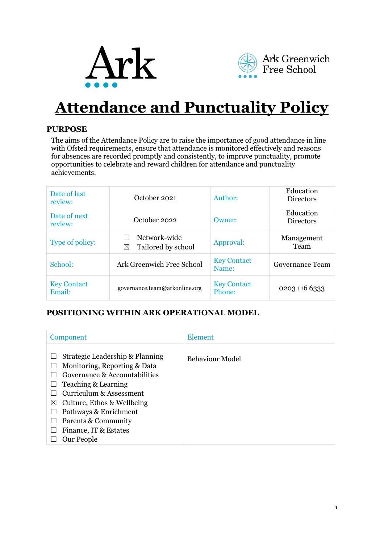



# **Attendance and Punctuality Policy**

# **PURPOSE**

The aims of the Attendance Policy are to raise the importance of good attendance in line with Ofsted requirements, ensure that attendance is monitored effectively and reasons for absences are recorded promptly and consistently, to improve punctuality, promote opportunities to celebrate and reward children for attendance and punctuality achievements.

| Date of last<br>review:      | October 2021                            | Author:                      | Education<br>Directors        |
|------------------------------|-----------------------------------------|------------------------------|-------------------------------|
| Date of next<br>review:      | October 2022                            | Owner:                       | Education<br><b>Directors</b> |
| Type of policy:              | Network-wide<br>Tailored by school<br>⊠ | Approval:                    | Management<br>Team            |
| School:                      | Ark Greenwich Free School               | <b>Key Contact</b><br>Name:  | Governance Team               |
| <b>Key Contact</b><br>Email: | governance.team@arkonline.org           | <b>Key Contact</b><br>Phone: | 0203 116 6333                 |

# **POSITIONING WITHIN ARK OPERATIONAL MODEL**

| Component                                                                                                                                                                                                                                                                            | <b>Element</b>         |
|--------------------------------------------------------------------------------------------------------------------------------------------------------------------------------------------------------------------------------------------------------------------------------------|------------------------|
| Strategic Leadership & Planning<br>Monitoring, Reporting & Data<br>Governance & Accountabilities<br>Teaching & Learning<br>Curriculum & Assessment<br>Culture, Ethos & Wellbeing<br>$\bowtie$<br>Pathways & Enrichment<br>Parents & Community<br>Finance, IT & Estates<br>Our People | <b>Behaviour Model</b> |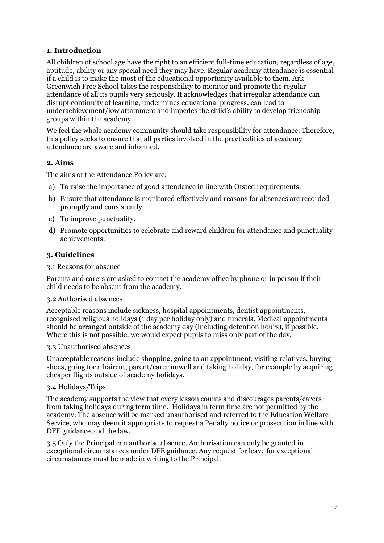## **1. Introduction**

All children of school age have the right to an efficient full-time education, regardless of age, aptitude, ability or any special need they may have. Regular academy attendance is essential if a child is to make the most of the educational opportunity available to them. Ark Greenwich Free School takes the responsibility to monitor and promote the regular attendance of all its pupils very seriously. It acknowledges that irregular attendance can disrupt continuity of learning, undermines educational progress, can lead to underachievement/low attainment and impedes the child's ability to develop friendship groups within the academy.

We feel the whole academy community should take responsibility for attendance. Therefore, this policy seeks to ensure that all parties involved in the practicalities of academy attendance are aware and informed.

#### **2. Aims**

The aims of the Attendance Policy are:

- a) To raise the importance of good attendance in line with Ofsted requirements.
- b) Ensure that attendance is monitored effectively and reasons for absences are recorded promptly and consistently.
- c) To improve punctuality.
- d) Promote opportunities to celebrate and reward children for attendance and punctuality achievements.

#### **3. Guidelines**

#### 3.1 Reasons for absence

Parents and carers are asked to contact the academy office by phone or in person if their child needs to be absent from the academy.

#### 3.2 Authorised absences

Acceptable reasons include sickness, hospital appointments, dentist appointments, recognised religious holidays (1 day per holiday only) and funerals. Medical appointments should be arranged outside of the academy day (including detention hours), if possible. Where this is not possible, we would expect pupils to miss only part of the day.

#### 3.3 Unauthorised absences

Unacceptable reasons include shopping, going to an appointment, visiting relatives, buying shoes, going for a haircut, parent/carer unwell and taking holiday, for example by acquiring cheaper flights outside of academy holidays.

#### 3.4 Holidays/Trips

The academy supports the view that every lesson counts and discourages parents/carers from taking holidays during term time. Holidays in term time are not permitted by the academy. The absence will be marked unauthorised and referred to the Education Welfare Service, who may deem it appropriate to request a Penalty notice or prosecution in line with DFE guidance and the law.

3.5 Only the Principal can authorise absence. Authorisation can only be granted in exceptional circumstances under DFE guidance. Any request for leave for exceptional circumstances must be made in writing to the Principal.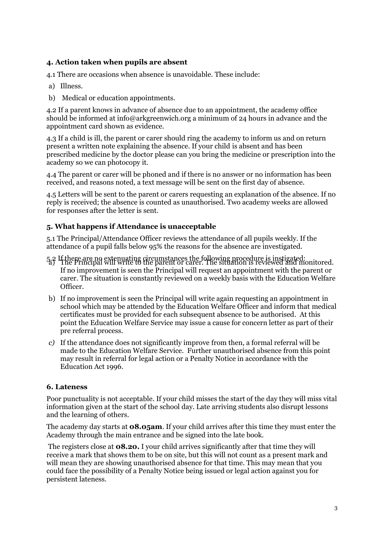# **4. Action taken when pupils are absent**

4.1 There are occasions when absence is unavoidable. These include:

- a) Illness.
- b) Medical or education appointments.

4.2 If a parent knows in advance of absence due to an appointment, the academy office should be informed at info@arkgreenwich.org a minimum of 24 hours in advance and the appointment card shown as evidence.

4.3 If a child is ill, the parent or carer should ring the academy to inform us and on return present a written note explaining the absence. If your child is absent and has been prescribed medicine by the doctor please can you bring the medicine or prescription into the academy so we can photocopy it.

4.4 The parent or carer will be phoned and if there is no answer or no information has been received, and reasons noted, a text message will be sent on the first day of absence.

4.5 Letters will be sent to the parent or carers requesting an explanation of the absence. If no reply is received; the absence is counted as unauthorised. Two academy weeks are allowed for responses after the letter is sent.

# **5. What happens if Attendance is unacceptable**

5.1 The Principal/Attendance Officer reviews the attendance of all pupils weekly. If the attendance of a pupil falls below 95% the reasons for the absence are investigated.

- 5.2 If there are no extenuating circumstances the following procedure is instigated:<br>The Principal will write to the parent or carer. The situation is reviewed and monitored. If no improvement is seen the Principal will request an appointment with the parent or carer. The situation is constantly reviewed on a weekly basis with the Education Welfare Officer.
- b) If no improvement is seen the Principal will write again requesting an appointment in school which may be attended by the Education Welfare Officer and inform that medical certificates must be provided for each subsequent absence to be authorised. At this point the Education Welfare Service may issue a cause for concern letter as part of their pre referral process.
- *c)* If the attendance does not significantly improve from then, a formal referral will be made to the Education Welfare Service. Further unauthorised absence from this point may result in referral for legal action or a Penalty Notice in accordance with the Education Act 1996.

# **6. Lateness**

Poor punctuality is not acceptable. If your child misses the start of the day they will miss vital information given at the start of the school day. Late arriving students also disrupt lessons and the learning of others.

The academy day starts at **08.05am**. If your child arrives after this time they must enter the Academy through the main entrance and be signed into the late book.

The registers close at **08.20.** I your child arrives significantly after that time they will receive a mark that shows them to be on site, but this will not count as a present mark and will mean they are showing unauthorised absence for that time. This may mean that you could face the possibility of a Penalty Notice being issued or legal action against you for persistent lateness.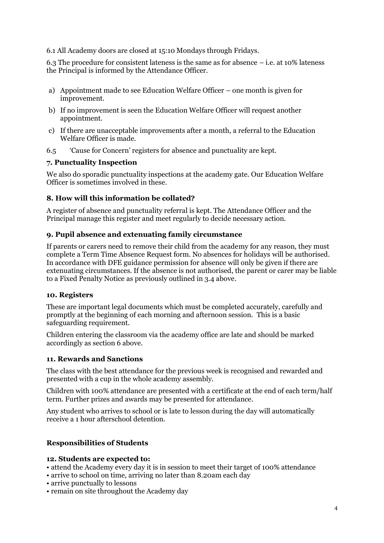## 6.1 All Academy doors are closed at 15:10 Mondays through Fridays.

6.3 The procedure for consistent lateness is the same as for absence – i.e. at 10% lateness the Principal is informed by the Attendance Officer.

- a) Appointment made to see Education Welfare Officer one month is given for improvement.
- b) If no improvement is seen the Education Welfare Officer will request another appointment.
- c) If there are unacceptable improvements after a month, a referral to the Education Welfare Officer is made.
- 6.5 'Cause for Concern' registers for absence and punctuality are kept.

# **7. Punctuality Inspection**

We also do sporadic punctuality inspections at the academy gate. Our Education Welfare Officer is sometimes involved in these.

# **8. How will this information be collated?**

A register of absence and punctuality referral is kept. The Attendance Officer and the Principal manage this register and meet regularly to decide necessary action.

## **9. Pupil absence and extenuating family circumstance**

If parents or carers need to remove their child from the academy for any reason, they must complete a Term Time Absence Request form. No absences for holidays will be authorised. In accordance with DFE guidance permission for absence will only be given if there are extenuating circumstances. If the absence is not authorised, the parent or carer may be liable to a Fixed Penalty Notice as previously outlined in 3.4 above.

#### **10. Registers**

These are important legal documents which must be completed accurately, carefully and promptly at the beginning of each morning and afternoon session. This is a basic safeguarding requirement.

Children entering the classroom via the academy office are late and should be marked accordingly as section 6 above.

# **11. Rewards and Sanctions**

The class with the best attendance for the previous week is recognised and rewarded and presented with a cup in the whole academy assembly.

Children with 100% attendance are presented with a certificate at the end of each term/half term. Further prizes and awards may be presented for attendance.

Any student who arrives to school or is late to lesson during the day will automatically receive a 1 hour afterschool detention.

# **Responsibilities of Students**

#### **12. Students are expected to:**

- attend the Academy every day it is in session to meet their target of 100% attendance
- arrive to school on time, arriving no later than 8.20am each day
- arrive punctually to lessons
- remain on site throughout the Academy day